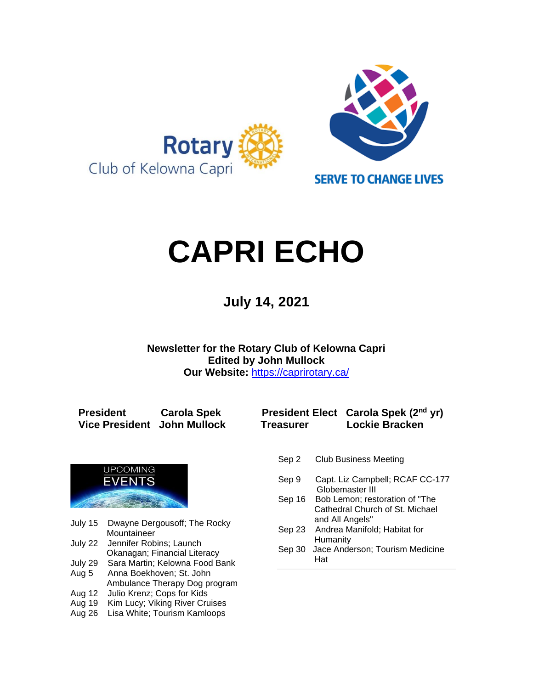

# **CAPRI ECHO**

 **July 14, <sup>2021</sup>**

**Newsletter for the Rotary Club of Kelowna Capri Edited by John Mullock Our Website:** <https://caprirotary.ca/>

**President Carola Spek President Elect Carola Spek (2nd yr) Vice President John Mullock Treasurer Lockie Bracken**



- July 15 Dwayne Dergousoff; The Rocky Mountaineer
- July 22 Jennifer Robins; Launch Okanagan; Financial Literacy
- July 29 Sara Martin; Kelowna Food Bank Aug 5 Anna Boekhoven; St. John
- Ambulance Therapy Dog program Aug 12 Julio Krenz; Cops for Kids
- Aug 19 Kim Lucy; Viking River Cruises
- Aug 26 Lisa White; Tourism Kamloops
- Sep 2 Club Business Meeting
- Sep 9 Capt. Liz Campbell; RCAF CC-177 Globemaster III
- Sep 16 Bob Lemon; restoration of "The **Cathedral Church of St. Michael** and All Angels"
- Sep 23 Andrea Manifold; Habitat for Humanity
- Sep 30 Jace Anderson; Tourism Medicine Hat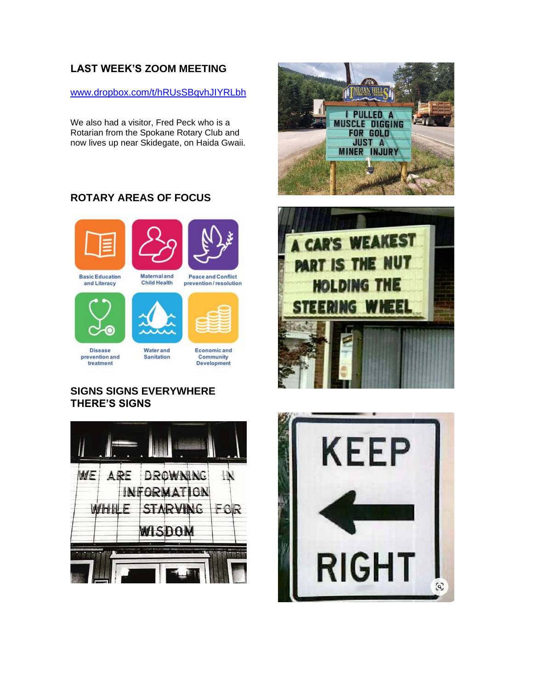# **LAST WEEK'S ZOOM MEETING**

[www.dropbox.com/t/hRUsSBqvhJIYRLbh](https://www.dropbox.com/t/hRUsSBqvhJIYRLbh)

We also had a visitor, Fred Peck who is a Rotarian from the Spokane Rotary Club and now lives up near Skidegate, on Haida Gwaii.

# **ROTARY AREAS OF FOCUS**





**Basic Education** and Literacy

**Child Health** prevention/resolution







**Disease** prevention and treatment

**Water and** Sanitation

**Economic and** Community Development

# **SIGNS SIGNS EVERYWHERE THERE'S SIGNS**







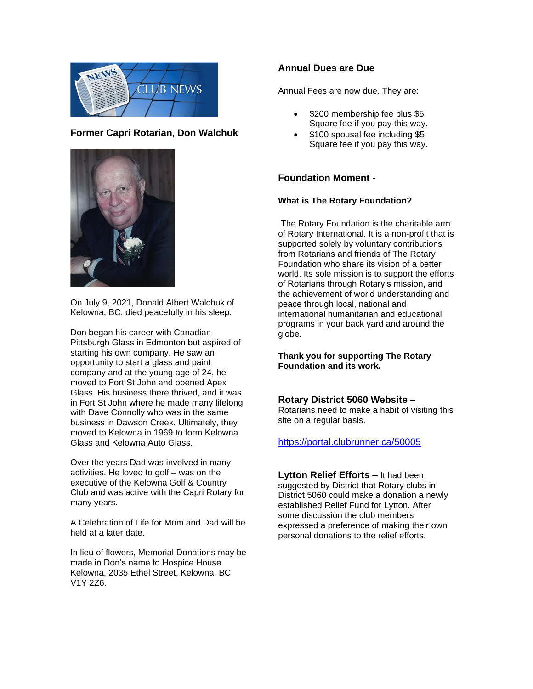

#### **Former Capri Rotarian, Don Walchuk**



On July 9, 2021, Donald Albert Walchuk of Kelowna, BC, died peacefully in his sleep.

Don began his career with Canadian Pittsburgh Glass in Edmonton but aspired of starting his own company. He saw an opportunity to start a glass and paint company and at the young age of 24, he moved to Fort St John and opened Apex Glass. His business there thrived, and it was in Fort St John where he made many lifelong with Dave Connolly who was in the same business in Dawson Creek. Ultimately, they moved to Kelowna in 1969 to form Kelowna Glass and Kelowna Auto Glass.

Over the years Dad was involved in many activities. He loved to golf – was on the executive of the Kelowna Golf & Country Club and was active with the Capri Rotary for many years.

A Celebration of Life for Mom and Dad will be held at a later date.

In lieu of flowers, Memorial Donations may be made in Don's name to Hospice House Kelowna, 2035 Ethel Street, Kelowna, BC V1Y 2Z6.

#### **Annual Dues are Due**

Annual Fees are now due. They are:

- \$200 membership fee plus \$5 Square fee if you pay this way.
- \$100 spousal fee including \$5 Square fee if you pay this way.

#### **Foundation Moment -**

#### **What is The Rotary Foundation?**

The Rotary Foundation is the charitable arm of Rotary International. It is a non-profit that is supported solely by voluntary contributions from Rotarians and friends of The Rotary Foundation who share its vision of a better world. Its sole mission is to support the efforts of Rotarians through Rotary's mission, and the achievement of world understanding and peace through local, national and international humanitarian and educational programs in your back yard and around the globe.

**Thank you for supporting The Rotary Foundation and its work.**

#### **Rotary District 5060 Website –**

Rotarians need to make a habit of visiting this site on a regular basis.

#### <https://portal.clubrunner.ca/50005>

**Lytton Relief Efforts –** It had been suggested by District that Rotary clubs in District 5060 could make a donation a newly established Relief Fund for Lytton. After some discussion the club members expressed a preference of making their own personal donations to the relief efforts.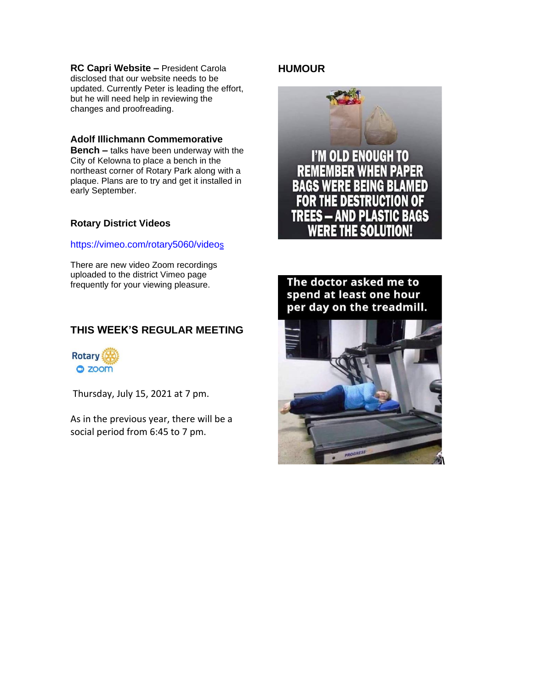**RC Capri Website –** President Carola disclosed that our website needs to be updated. Currently Peter is leading the effort, but he will need help in reviewing the changes and proofreading.

#### **Adolf Illichmann Commemorative**

**Bench –** talks have been underway with the City of Kelowna to place a bench in the northeast corner of Rotary Park along with a plaque. Plans are to try and get it installed in early September.

#### **Rotary District Videos**

#### [https://vimeo.com/rotary5060/video](https://vimeo.com/rotary5060/videos)[s](https://vimeo.com/rotary5060/videos)

There are new video Zoom recordings uploaded to the district Vimeo page frequently for your viewing pleasure.

# **THIS WEEK'S REGULAR MEETING**



Thursday, July 15, 2021 at 7 pm.

As in the previous year, there will be a social period from 6:45 to 7 pm.

## **HUMOUR**





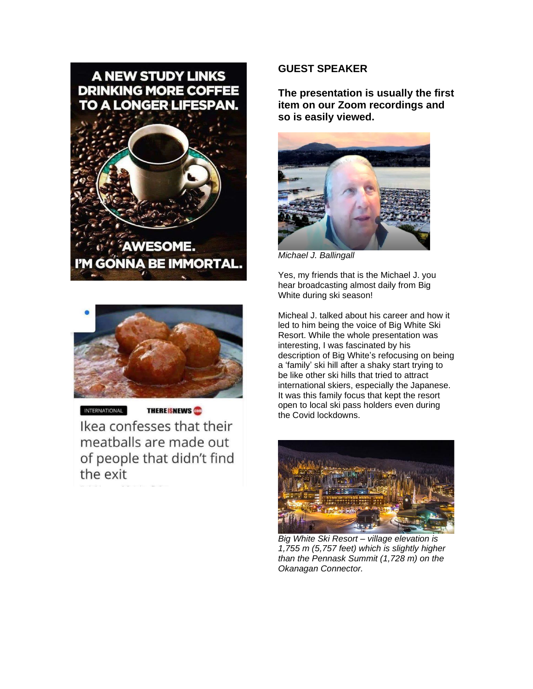



INTERNATIONAL

**THEREISNEWS** 

Ikea confesses that their meatballs are made out of people that didn't find the exit

#### **GUEST SPEAKER**

**The presentation is usually the first item on our Zoom recordings and so is easily viewed.** 



*Michael J. Ballingall*

Yes, my friends that is the Michael J. you hear broadcasting almost daily from Big White during ski season!

Micheal J. talked about his career and how it led to him being the voice of Big White Ski Resort. While the whole presentation was interesting, I was fascinated by his description of Big White's refocusing on being a 'family' ski hill after a shaky start trying to be like other ski hills that tried to attract international skiers, especially the Japanese. It was this family focus that kept the resort open to local ski pass holders even during the Covid lockdowns.



*Big White Ski Resort – village elevation is 1,755 m (5,757 feet) which is slightly higher than the Pennask Summit (1,728 m) on the Okanagan Connector.*